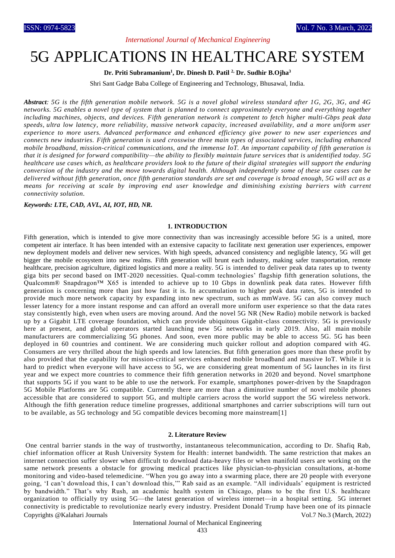## *International Journal of Mechanical Engineering*

# 5G APPLICATIONS IN HEALTHCARE SYSTEM

#### **Dr. Priti Subramanium<sup>1</sup> , Dr. Dinesh D. Patil 2, Dr. Sudhir B.Ojha<sup>3</sup>**

Shri Sant Gadge Baba College of Engineering and Technology, Bhusawal, India.

*Abstract: 5G is the fifth generation mobile network. 5G is a novel global wireless standard after 1G, 2G, 3G, and 4G networks. 5G enables a novel type of system that is planned to connect approximately everyone and everything together including machines, objects, and devices. Fifth generation network is competent to fetch higher multi-Gbps peak data speeds, [ultra low latency,](https://www.qualcomm.com/news/onq/2019/05/13/how-5g-low-latency-improves-your-mobile-experiences) more reliability, massive network capacity, increased availability, and a more uniform user experience to more users. Advanced performance and enhanced efficiency give power to new user experiences and connects new industries. Fifth generation is used crosswise three main types of associated services, including enhanced mobile broadband, mission-critical communications, and the immense IoT. An important capability of fifth generation is that it is designed for forward compatibility—the ability to flexibly maintain future services that is unidentified today. 5G healthcare use cases which, as healthcare providers look to the future of their digital strategies will support the enduring conversion of the industry and the move towards digital health. Although independently some of these use cases can be delivered without fifth generation, once fifth generation standards are set and coverage is broad enough, 5G will act as a means for receiving at scale by improving end user knowledge and diminishing existing barriers with current connectivity solution.*

#### *Keywords: LTE, CAD, AVL, AI, IOT, HD, NR.*

#### **1. INTRODUCTION**

Fifth generation, which is intended to give more connectivity than was increasingly accessible before 5G is a united, more competent air interface. It has been intended with an extensive capacity to facilitate next generation user experiences, empower new deployment models and deliver new services. With high speeds, advanced consistency and negligible latency, 5G will get bigger the mobile ecosystem into new realms. Fifth generation will brunt each industry, making safer transportation, remote healthcare, precision agriculture, digitized logistics and more a reality. 5G is intended to deliver peak data rates up to twenty giga bits per second based on IMT-2020 necessities. Qual-comm technologies' flagship fifth generation solutions, the Qualcomm® Snapdragon™ X65 is intended to achieve up to 10 Gbps in downlink peak data rates. However fifth generation is concerning more than just how fast it is. In accumulation to higher peak data rates, 5G is intended to provide much more network capacity by expanding into new spectrum, such as mmWave. 5G can also convey much lesser latency for a more instant response and can afford an overall more uniform user experience so that the data rates stay consistently high, even when users are moving around. And the novel 5G NR (New Radio) mobile network is backed up by a Gigabit LTE coverage foundation, which can provide ubiquitous Gigabit-class connectivity. 5G is previously here at present, and global operators started launching new 5G networks in early 2019. Also, all main mobile manufacturers are commercializing 5G phones. And soon, even more public may be able to access 5G. 5G has been deployed in 60 countries and continent. We are considering much quicker rollout and adoption compared with 4G. Consumers are very thrilled about the high speeds and low latencies. But fifth generation goes more than these profit by also provided that the capability for mission-critical services enhanced mobile broadband and massive IoT. While it is hard to predict when everyone will have access to 5G, we are considering great momentum of 5G launches in its first year and we expect more countries to commence their fifth generation networks in 2020 and beyond. Novel smartphone that supports 5G if you want to be able to use the network. For example, smartphones power-driven by the Snapdragon 5G Mobile Platforms are 5G compatible. Currently there are more than a diminutive number of novel mobile phones accessible that are considered to support 5G, and multiple carriers across the world support the 5G wireless network. Although the fifth generation reduce timeline progresses, additional smartphones and carrier subscriptions will turn out to be available, as 5G technology and 5G compatible devices becoming more mainstream[1]

#### **2. Literature Review**

Copyrights @Kalahari Journals Vol.7 No.3 (March, 2022) One central barrier stands in the way of trustworthy, instantaneous telecommunication, according to Dr. Shafiq Rab, chief information officer at Rush University System for Health: internet bandwidth. The same restriction that makes an internet connection suffer slower when difficult to download data-heavy files or when manifold users are working on the same network presents a obstacle for growing medical practices like physician-to-physician consultations, at-home monitoring and video-based telemedicine. "When you go away into a swarming place, there are 20 people with everyone going, 'I can't download this, I can't download this,'" Rab said as an example. "All individuals' equipment is restricted by bandwidth." That's why Rush, an academic health system in Chicago, plans to be the first U.S. healthcare organization to officially try using 5G—the latest generation of wireless internet—in a hospital setting. [5G internet](https://www.modernhealthcare.com/technology/what-5g)  [connectivity](https://www.modernhealthcare.com/technology/what-5g) is predictable to revolutionize nearly every industry. President Donald Trump have been one of its pinnacle

#### International Journal of Mechanical Engineering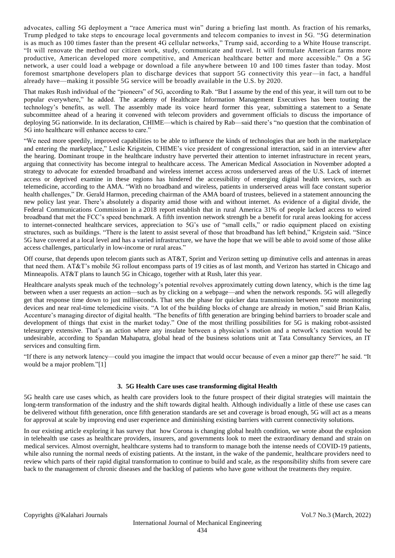advocates, calling 5G deployment a "race America must win" during a briefing last month. As fraction of his remarks, Trump pledged to take steps to encourage local governments and telecom companies to invest in 5G. "5G determination is as much as 100 times faster than the present 4G cellular networks," Trump said, according to a [White House transcript.](https://www.whitehouse.gov/briefings-statements/remarks-president-trump-united-states-5g-deployment/) "It will renovate the method our citizen work, study, communicate and travel. It will formulate American farms more productive, American developed more competitive, and American healthcare better and more accessible." On a 5G network, a user could load a webpage or download a file anywhere between 10 and 100 times faster than today. Most foremost smartphone developers plan to discharge devices that support 5G connectivity this year—in fact, a handful already have—making it possible 5G service will be broadly available in the U.S. by 2020.

That makes Rush individual of the "pioneers" of 5G, according to Rab. "But I assume by the end of this year, it will turn out to be popular everywhere," he added. The academy of Healthcare Information Management Executives has been touting the technology's benefits, as well. The assembly made its voice heard former this year, submitting [a statement](https://chimecentral.org/wp-content/uploads/2019/02/CHIME-Statement-on-Senate-Commerce-5G-HearingvFINAL.pdf) to a Senate subcommittee ahead of a hearing it convened with telecom providers and government officials to discuss the importance of deploying 5G nationwide. In its declaration, CHIME—which is chaired by Rab—said there's "no question that the combination of 5G into healthcare will enhance access to care."

"We need more speedily, improved capabilities to be able to influence the kinds of technologies that are both in the marketplace and entering the marketplace," Leslie Krigstein, CHIME's vice president of congressional interaction, said in an interview after the hearing. Dominant troupe in the healthcare industry have perverted their attention to internet infrastructure in recent years, arguing that connectivity has become integral to healthcare access. The American Medical Association in November adopted a strategy to advocate for extended broadband and wireless internet access across underserved areas of the U.S. Lack of internet access or deprived examine in these regions has hindered the accessibility of emerging digital health services, such as telemedicine, according to the AMA. "With no broadband and wireless, patients in underserved areas will face constant superior health challenges," Dr. Gerald Harmon, preceding chairman of the AMA board of trustees, believed in [a statement](https://www.ama-assn.org/press-center/press-releases/new-ama-policies-adopted-final-day-2018-interim-meeting) announcing the new policy last year. There's absolutely a disparity amid those with and without internet. As evidence of a digital divide, the Federal Communications Commission in a [2018 report](https://www.fcc.gov/reports-research/reports/broadband-progress-reports/2018-broadband-deployment-report) establish that in rural America 31% of people lacked access to wired broadband that met the FCC's speed benchmark. A fifth invention network strength be a benefit for rural areas looking for access to internet-connected healthcare services, appreciation to 5G's use of "small cells," or radio equipment placed on existing structures, such as buildings. "There is the latent to assist several of those that broadband has left behind," Krigstein said. "Since 5G have covered at a local level and has a varied infrastructure, we have the hope that we will be able to avoid some of those alike access challenges, particularly in low-income or rural areas."

Off course, that depends upon telecom giants such as AT&T, Sprint and Verizon setting up diminutive cells and antennas in areas that need them. AT&T's mobile 5G rollout encompass parts of [19 cities](https://about.att.com/story/2019/mobile_5g.html) as of last month, and Verizon has started in Chicago and Minneapolis. AT&T plans to launch 5G in Chicago, together with at Rush, later this year.

Healthcare analysts speak much of the technology's potential revolves approximately cutting down latency, which is the time lag between when a user requests an action—such as by clicking on a webpage—and when the network responds. 5G will allegedly get that response time down to just milliseconds. That sets the phase for quicker data transmission between remote monitoring devices and near real-time telemedicine visits. "A lot of the building blocks of change are already in motion," said Brian Kalis, Accenture's managing director of digital health. "The benefits of fifth generation are bringing behind barriers to broader scale and development of things that exist in the market today." One of the most thrilling possibilities for 5G is making robot-assisted telesurgery extensive. That's an action where any insulate between a physician's motion and a network's reaction would be undesirable, according to Spandan Mahapatra, global head of the business solutions unit at Tata Consultancy Services, an IT services and consulting firm.

"If there is any network latency—could you imagine the impact that would occur because of even a minor gap there?" he said. "It would be a major problem."[1]

## **3. 5G Health Care uses case transforming digital Health**

5G health care use cases which, as health care providers look to the future prospect of their digital strategies will maintain the long-term transformation of the industry and the shift towards digital health. Although individually a little of these use cases can be delivered without fifth generation, once fifth generation standards are set and coverage is broad enough, 5G will act as a means for approval at scale by improving end user experience and diminishing existing barriers with current connectivity solutions.

In our existing article exploring it has survey that how Corona is [changing](https://stlpartners.com/digital-health-telecoms/how-covid-19-is-changing-digital-health-and-what-it-means-for-telcos/) global health condition, we wrote about the explosion in telehealth use cases as healthcare providers, insurers, and governments look to meet the extraordinary demand and strain on medical services. Almost overnight, healthcare systems had to transform to manage both the intense needs of COVID-19 patients, while also running the normal needs of existing patients. At the instant, in the wake of the pandemic, healthcare providers need to review which parts of their rapid digital transformation to continue to build and scale, as the responsibility shifts from severe care back to the management of chronic diseases and the backlog of patients who have gone without the treatments they require.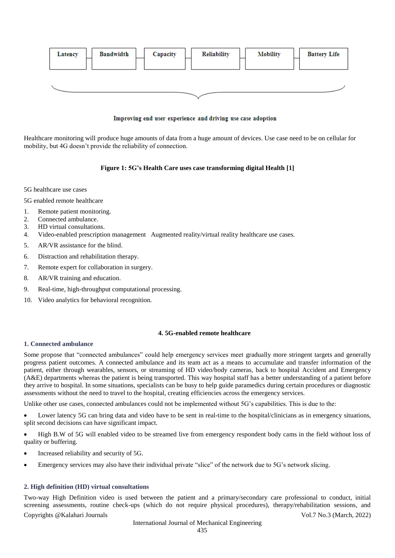

## Improving end user experience and driving use case adoption

Healthcare monitoring will produce huge amounts of data from a huge amount of devices. Use case need to be on cellular for mobility, but 4G doesn't provide the reliability of connection.

## **Figure 1: 5G's Health Care uses case transforming digital Health [1]**

5G healthcare use cases

5G enabled remote healthcare

- 1. Remote patient monitoring.
- 2. Connected ambulance.
- 3. HD virtual consultations.
- 4. Video-enabled prescription management Augmented reality/virtual reality healthcare use cases.
- 5. AR/VR assistance for the blind.
- 6. Distraction and rehabilitation therapy.
- 7. Remote expert for collaboration in surgery.
- 8. AR/VR training and education.
- 9. Real-time, high-throughput computational processing.
- 10. Video analytics for behavioral recognition.

### **4. 5G-enabled remote healthcare**

## **1. Connected ambulance**

Some propose that "connected ambulances" could help emergency services meet gradually more stringent targets and generally progress patient outcomes. A connected ambulance and its team act as a means to accumulate and transfer information of the patient, either through wearables, sensors, or streaming of HD video/body cameras, back to hospital Accident and Emergency (A&E) departments whereas the patient is being transported. This way hospital staff has a better understanding of a patient before they arrive to hospital. In some situations, specialists can be busy to help guide paramedics during certain procedures or diagnostic assessments without the need to travel to the hospital, creating efficiencies across the emergency services.

Unlike other use cases, connected ambulances could not be implemented without 5G's capabilities. This is due to the:

 Lower latency 5G can bring data and video have to be sent in real-time to the hospital/clinicians as in emergency situations, split second decisions can have significant impact.

 High B.W of 5G will enabled video to be streamed live from emergency respondent body cams in the field without loss of quality or buffering.

- Increased reliability and security of 5G.
- Emergency services may also have their individual private "slice" of the network due to 5G's network slicing.

#### **2. High definition (HD) virtual consultations**

Copyrights @Kalahari Journals Vol.7 No.3 (March, 2022) Two-way High Definition video is used between the patient and a primary/secondary care professional to conduct, initial screening assessments, routine check-ups (which do not require physical procedures), therapy/rehabilitation sessions, and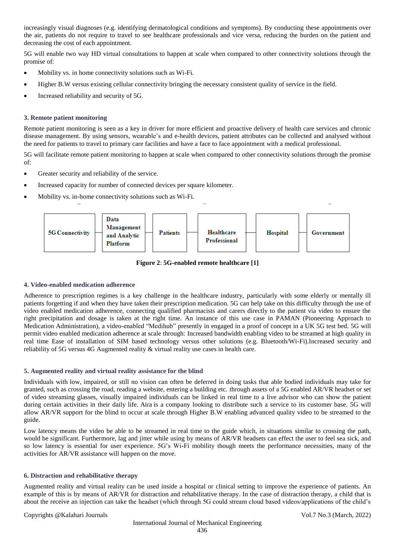increasingly visual diagnoses (e.g. identifying dermatological conditions and symptoms). By conducting these appointments over the air, patients do not require to travel to see healthcare professionals and vice versa, reducing the burden on the patient and decreasing the cost of each appointment.

5G will enable two way HD virtual consultations to happen at scale when compared to other connectivity solutions through the promise of:

- Mobility vs. in home connectivity solutions such as Wi-Fi.
- Higher B.W versus existing cellular connectivity bringing the necessary consistent quality of service in the field.
- Increased reliability and security of 5G.

### **3. Remote patient monitoring**

Remote patient monitoring is seen as a key in driver for more efficient and proactive delivery of health care services and chronic disease management. By using sensors, wearable's and e-health devices, patient attributes can be collected and analysed without the need for patients to travel to primary care facilities and have a face to face appointment with a medical professional.

5G will facilitate remote patient monitoring to happen at scale when compared to other connectivity solutions through the promise of:

- Greater security and reliability of the service.
- Increased capacity for number of connected devices per square kilometer.
- Mobility vs. in-home connectivity solutions such as Wi-Fi.



**Figure 2**: **5G-enabled remote healthcare [1]**

#### **4. Video-enabled medication adherence**

Adherence to prescription regimes is a key challenge in the healthcare industry, particularly with some elderly or mentally ill patients forgetting if and when they have taken their prescription medication. 5G can help take on this difficulty through the use of video enabled medication adherence, connecting qualified pharmacists and carers directly to the patient via video to ensure the right precipitation and dosage is taken at the right time. An instance of this use case in [PAMAN](https://paman.org.uk/home/) (Pioneering Approach to Medication Administration), a video-enabled "Medihub" presently in engaged in a proof of concept in a UK 5G test bed. 5G will permit video enabled medication adherence at scale through: Increased bandwidth enabling video to be streamed at high quality in real time Ease of installation of SIM based technology versus other solutions (e.g. Bluetooth/Wi-Fi).Increased security and reliability of 5G versus 4G Augmented reality & virtual reality use cases in health care.

## **5. Augmented reality and virtual reality assistance for the blind**

Individuals with low, impaired, or still no vision can often be deferred in doing tasks that able bodied individuals may take for granted, such as crossing the road, reading a website, entering a building etc. through assets of a 5G enabled AR/VR headset or set of video streaming glasses, visually impaired individuals can be linked in real time to a live advisor who can show the patient during certain activities in their daily life. [Aira](https://aira.io/) is a company looking to distribute such a service to its customer base. 5G will allow AR/VR support for the blind to occur at scale through Higher B.W enabling advanced quality video to be streamed to the guide.

Low latency means the video be able to be streamed in real time to the guide which, in situations similar to crossing the path, would be significant. Furthermore, lag and jitter while using by means of AR/VR headsets can effect the user to feel sea sick, and so low latency is essential for user experience. 5G's Wi-Fi mobility though meets the performance necessities, many of the activities for AR/VR assistance will happen on the move.

#### **6. Distraction and rehabilitative therapy**

Augmented reality and virtual reality can be used inside a hospital or clinical setting to improve the experience of patients. An example of this is by means of AR/VR for distraction and rehabilitative therapy. In the case of distraction therapy, a child that is about the receive an injection can take the headset (which through 5G could stream cloud based videos/applications of the child's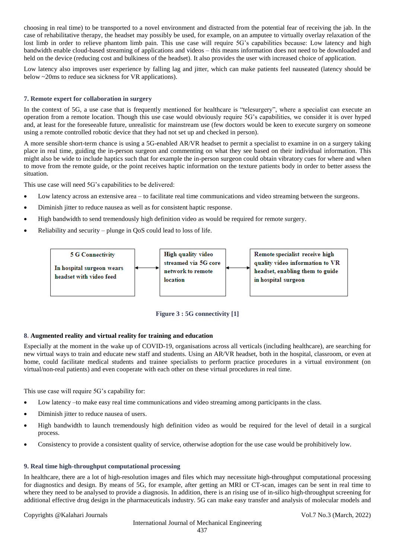choosing in real time) to be transported to a novel environment and distracted from the potential fear of receiving the jab. In the case of rehabilitative therapy, the headset may possibly be used, for example, on an amputee to virtually overlay relaxation of the lost limb in order to relieve phantom limb pain. This use case will require 5G's capabilities because: Low latency and high bandwidth enable cloud-based streaming of applications and videos – this means information does not need to be downloaded and held on the device (reducing cost and bulkiness of the headset). It also provides the user with increased choice of application.

Low latency also improves user experience by falling lag and jitter, which can make patients feel nauseated (latency should be below ~20ms to reduce sea sickness for VR applications).

## **7. Remote expert for collaboration in surgery**

In the context of 5G, a use case that is frequently mentioned for healthcare is "telesurgery", where a specialist can execute an operation from a remote location. Though this use case would obviously require 5G's capabilities, we consider it is over hyped and, at least for the foreseeable future, unrealistic for mainstream use (few doctors would be keen to execute surgery on someone using a remote controlled robotic device that they had not set up and checked in person).

A more sensible short-term chance is using a 5G-enabled AR/VR headset to permit a specialist to examine in on a surgery taking place in real time, guiding the in-person surgeon and commenting on what they see based on their individual information. This might also be wide to include haptics such that for example the in-person surgeon could obtain vibratory cues for where and when to move from the remote guide, or the point receives haptic information on the texture patients body in order to better assess the situation.

This use case will need 5G's capabilities to be delivered:

- Low latency across an extensive area to facilitate real time communications and video streaming between the surgeons.
- Diminish jitter to reduce nausea as well as for consistent haptic response.
- High bandwidth to send tremendously high definition video as would be required for remote surgery.
- Reliability and security plunge in QoS could lead to loss of life.





## **8. Augmented reality and virtual reality for training and education**

Especially at the moment in the wake up of COVID-19, organisations across all verticals (including healthcare), are searching for new virtual ways to train and educate new staff and students. Using an AR/VR headset, both in the hospital, classroom, or even at home, could facilitate medical students and trainee specialists to perform practice procedures in a virtual environment (on virtual/non-real patients) and even cooperate with each other on these virtual procedures in real time.

This use case will require 5G's capability for:

- Low latency –to make easy real time communications and video streaming among participants in the class.
- Diminish jitter to reduce nausea of users.
- High bandwidth to launch tremendously high definition video as would be required for the level of detail in a surgical process.
- Consistency to provide a consistent quality of service, otherwise adoption for the use case would be prohibitively low.

#### **9. Real time high-throughput computational processing**

In healthcare, there are a lot of high-resolution images and files which may necessitate high-throughput computational processing for diagnostics and design. By means of 5G, for example, after getting an MRI or CT-scan, images can be sent in real time to where they need to be analysed to provide a diagnosis. In addition, there is an rising use of in-silico high-throughput screening for additional effective drug design in the pharmaceuticals industry. 5G can make easy transfer and analysis of molecular models and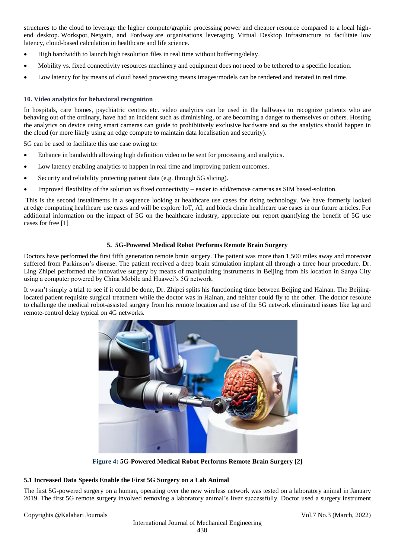structures to the cloud to leverage the higher compute/graphic processing power and cheaper resource compared to a local highend desktop. [Workspot,](https://www.workspot.com/healthcare-solution/) [Netgain,](https://netgaincloud.com/desktop-as-a-service/) and [Fordway](https://www.fordway.com/desktop-as-a-service-healthcare-solutions/) are organisations leveraging Virtual Desktop Infrastructure to facilitate low latency, cloud-based calculation in healthcare and life science.

- High bandwidth to launch high resolution files in real time without buffering/delay.
- Mobility vs. fixed connectivity resources machinery and equipment does not need to be tethered to a specific location.
- Low latency for by means of cloud based processing means images/models can be rendered and iterated in real time.

## **10. Video analytics for behavioral recognition**

In hospitals, care homes, psychiatric centres etc. video analytics can be used in the hallways to recognize patients who are behaving out of the ordinary, have had an incident such as diminishing, or are becoming a danger to themselves or others. Hosting the analytics on device using smart cameras can guide to prohibitively exclusive hardware and so the analytics should happen in the cloud (or more likely using an edge compute to maintain data localisation and security).

5G can be used to facilitate this use case owing to:

- Enhance in bandwidth allowing high definition video to be sent for processing and analytics.
- Low latency enabling analytics to happen in real time and improving patient outcomes.
- Security and reliability protecting patient data (e.g. through 5G slicing).
- Improved flexibility of the solution vs fixed connectivity easier to add/remove cameras as SIM based-solution.

This is the second installments in a sequence looking at healthcare use cases for rising technology. We have formerly looked at [edge computing healthcare use cases](https://stlpartners.com/digital-health-telecoms/digital-health-at-the-edge/) and will be explore IoT, AI, and block chain healthcare use cases in our future articles. For additional information on the impact of 5G on the healthcare industry, appreciate our report [quantfying the benefit of 5G use](https://stlpartners.com/research/5gs-healthcare-impact-1-billion-patients-with-improved-access-in-2030/)  [cases](https://stlpartners.com/research/5gs-healthcare-impact-1-billion-patients-with-improved-access-in-2030/) for free [1]

## **5. 5G-Powered Medical Robot Performs Remote Brain Surgery**

Doctors have performed the first fifth generation remote brain surgery. The patient was more than 1,500 miles away and moreover suffered from Parkinson's disease. The patient received a deep brain stimulation implant all through a three hour procedure. Dr. Ling Zhipei performed the innovative surgery by means of manipulating instruments in Beijing from his location in Sanya City using a computer powered by China Mobile and Huawei's 5G network.

It wasn't simply a trial to see if it could be done, Dr. Zhipei splits his functioning time between Beijing and Hainan. The Beijinglocated patient requisite surgical treatment while the doctor was in Hainan, and neither could fly to the other. The doctor resolute to challenge the medical robot-assisted surgery from his remote location and use of the 5G network eliminated issues like lag and remote-control delay typical on 4G networks.



**Figure 4: 5G-Powered Medical Robot Performs Remote Brain Surgery [2]**

## **5.1 Increased Data Speeds Enable the First 5G Surgery on a Lab Animal**

The first 5G-powered surgery on a human, operating over the new wireless network was tested on a laboratory animal in January 2019. The first 5G remote surgery involved removing a laboratory animal's liver successfully. Doctor used a surgery instrument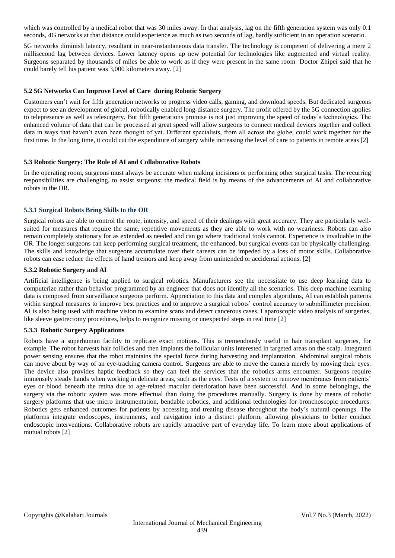which was controlled by a medical robot that was 30 miles away. In that analysis, lag on the fifth generation system was only 0.1 seconds, 4G networks at that distance could experience as much as two seconds of lag, hardly sufficient in an operation scenario.

5G networks diminish latency, resultant in near-instantaneous data transfer. The technology is competent of delivering a mere 2 millisecond lag between devices. Lower latency opens up new potential for technologies like augmented and virtual reality. Surgeons separated by thousands of miles be able to work as if they were present in the same room Doctor Zhipei said that he could barely tell his patient was 3,000 kilometers away. [2]

## **5.2 5G Networks Can Improve Level of Care during Robotic Surgery**

Customers can't wait for fifth generation networks to progress video calls, gaming, and download speeds. But dedicated surgeons expect to see an development of global, robotically enabled long-distance surgery. The profit offered by the 5G connection applies to telepresence as well as telesurgery. But fifth generations promise is not just improving the speed of today's technologies. The enhanced volume of data that can be processed at great speed will allow surgeons to connect medical devices together and collect data in ways that haven't even been thought of yet. Different specialists, from all across the globe, could work together for the first time. In the long time, it could cut the expenditure of surgery while increasing the level of care to patients in remote areas [2]

#### **5.3 Robotic Surgery: The Role of AI and Collaborative Robots**

In the operating room, surgeons must always be accurate when making incisions or performing other surgical tasks. The recurring responsibilities are challenging, to assist surgeons; the medical field is by means of the advancements of AI and collaborative robots in the OR.

#### **5.3.1 Surgical Robots Bring Skills to the OR**

Surgical robots are able to control the route, intensity, and speed of their dealings with great accuracy. They are particularly wellsuited for measures that require the same, repetitive movements as they are able to work with no weariness. Robots can also remain completely stationary for as extended as needed and can go where traditional tools cannot. Experience is invaluable in the OR. The longer surgeons can keep performing surgical treatment, the enhanced, but surgical events can be physically challenging. The skills and knowledge that surgeons accumulate over their careers can be impeded by a loss of motor skills. Collaborative robots can ease reduce the effects of hand tremors and keep away from unintended or accidental actions. [2]

#### **5.3.2 Robotic Surgery and AI**

Artificial intelligence is being applied to surgical robotics. Manufacturers see the necessitate to use deep learning data to computerize rather than behavior programmed by an engineer that does not identify all the scenarios. This deep machine learning data is composed from surveillance surgeons perform. Appreciation to this data and complex algorithms, AI can establish patterns within surgical measures to improve best practices and to improve a surgical robots' control accuracy to submillimeter precision. AI is also being used with machine vision to examine scans and detect cancerous cases. Laparoscopic video analysis of surgeries, like sleeve gastrectomy procedures, helps to recognize missing or unexpected steps in real time [2]

#### **5.3.3 Robotic Surgery Applications**

Robots have a superhuman facility to replicate exact motions. This is tremendously useful in hair transplant surgeries, for example. The robot harvests hair follicles and then implants the follicular units interested in targeted areas on the scalp. Integrated power sensing ensures that the robot maintains the special force during harvesting and implantation. Abdominal surgical robots can move about by way of an eye-tracking camera control. Surgeons are able to move the camera merely by moving their eyes. The device also provides haptic feedback so they can feel the services that the robotics arms encounter. Surgeons require immensely steady hands when working in delicate areas, such as the eyes. Tests of a system to remove membranes from patients' eyes or blood beneath the retina due to age-related macular deterioration have been successful. And in some belongings, the surgery via the robotic system was more effectual than doing the procedures manually. Surgery is done by means of robotic surgery platforms that use micro instrumentation, bendable robotics, and additional technologies for bronchoscopic procedures. Robotics gets enhanced outcomes for patients by accessing and treating disease throughout the body's natural openings. The platforms integrate endoscopes, instruments, and navigation into a distinct platform, allowing physicians to better conduct endoscopic interventions. Collaborative robots are rapidly attractive part of everyday life. To learn more about applications of mutual robots [2]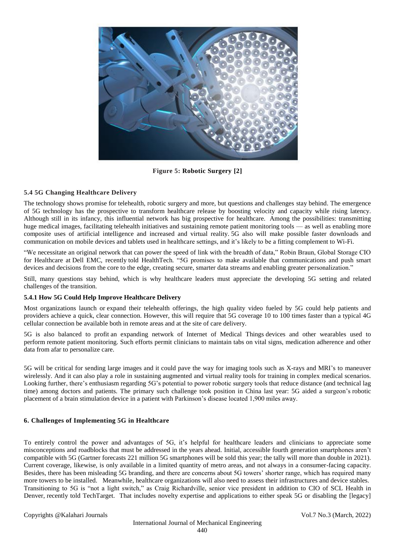

**Figure 5: Robotic Surgery [2]**

## **5.4 5G Changing Healthcare Delivery**

The technology shows promise for telehealth, robotic surgery and more, but questions and challenges stay behind. The emergence of 5G technology has the prospective to transform healthcare release by boosting velocity and capacity while rising latency. Although still in its infancy, this influential network has big prospective for healthcare. Among the possibilities: transmitting huge medical images, facilitating telehealth initiatives and sustaining remote patient monitoring tools — as well as enabling more composite uses of artificial intelligence and increased and virtual reality. 5G also will make possible faster downloads and communication on mobile devices and tablets used in healthcare settings, and it's likely to be [a fitting complement to Wi-Fi.](https://healthtechmagazine.net/article/2019/12/keep-wi-fi-6-mind-when-planning-network-upgrades)

"We necessitate an original network that can power the speed of link with the breadth of data," Robin Braun, Global Storage CIO for Healthcare at [Dell EMC,](https://www.cdw.com/content/cdw/en/brand/emc.html) recently told [HealthTech](https://healthtechmagazine.net/article/2019/04/what-will-5g-mean-healthcare)*.* "5G promises to make available that communications and push smart devices and decisions from the core to the edge, creating secure, smarter data streams and enabling greater personalization."

Still, many questions stay behind, which is why healthcare leaders must appreciate the developing 5G setting and related challenges of the transition.

## **5.4.1 How 5G Could Help Improve Healthcare Delivery**

Most organizations launch or [expand their telehealth offerings,](https://healthtechmagazine.net/article/2020/01/how-nyu-langone-health-grew-its-telemedicine-program) the high quality video fueled by 5G could help patients and providers achieve a quick, clear connection. However, this will require that 5G coverage 10 to 100 times faster than a typical 4G cellular connection be available both in remote areas and at the site of care delivery.

5G is also balanced to profit an expanding [network of Internet](https://healthtechmagazine.net/article/2020/01/how-internet-medical-things-impacting-healthcare-perfcon) of Medical Things devices and other wearables used to perform [remote patient monitoring.](https://healthtechmagazine.net/article/2019/10/remote-patient-monitoring-how-practice-saves-lives) Such efforts permit clinicians to maintain tabs on vital signs, medication adherence and other data from afar to personalize care.

5G will be critical for sending large images and it could pave the way for imaging tools such as X-rays and MRI's to maneuver wirelessly. And it can also play a role in sustaining [augmented and virtual reality tools](https://healthtechmagazine.net/article/2019/09/how-augmented-reality-improving-patient-care) for training in complex medical scenarios. Looking further, there's enthusiasm regarding 5G's potential to power robotic surgery tools that reduce distance (and technical lag time) among doctors and patients. The primary such challenge took position in China last year: 5G aided a surgeon's [robotic](https://www.businessinsider.com/5g-surgery-could-transform-healthcare-industry-2019-8)  [placement of a brain stimulation device](https://www.businessinsider.com/5g-surgery-could-transform-healthcare-industry-2019-8) in a patient with Parkinson's disease located 1,900 miles away.

### **6. Challenges of Implementing 5G in Healthcare**

To entirely control the power and advantages of 5G, it's helpful for healthcare leaders and clinicians to appreciate some misconceptions and roadblocks that must be addressed in the years ahead. Initial, accessible fourth generation smartphones aren't compatible with 5G (Gartner forecasts [221 million 5G smartphones will be sold this year;](https://www.gartner.com/en/newsroom/press-releases/2020-01-28-gartner-says-worldwide-smartphone-sales-will-grow-3--) the tally will more than double in 2021). Current coverage, likewise, is only available in a limited quantity of metro areas, and not always in a consumer-facing capacity. Besides, there has been [misleading 5G branding,](https://www.theverge.com/2019/4/22/18511660/att-sprint-5ge-false-advertising-lawsuit-settlement) and there are concerns about 5G towers' shorter range, which has required many more towers to be installed. Meanwhile, healthcare organizations will also need to assess their infrastructures and device stables. Transitioning to 5G is "not a light switch," as Craig Richardville, senior vice president in addition to CIO of SCL Health in Denver, [recently told TechTarget.](https://searchhealthit.techtarget.com/news/252469036/5G-healthcare-use-cases-will-help-justify-investment-but-are-elusive) That includes novelty expertise and applications to either speak 5G or disabling the [legacy]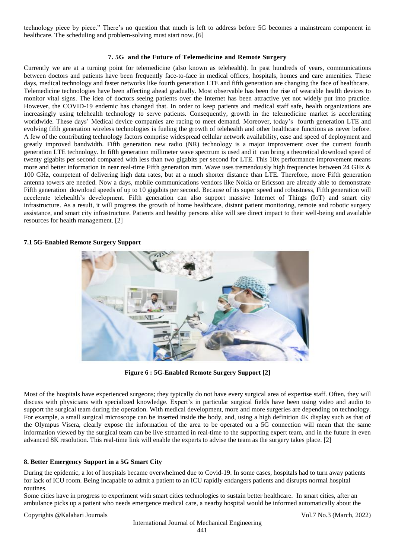technology piece by piece." There's no question that much is left to address before 5G becomes a mainstream component in healthcare. The scheduling and problem-solving must start now. [6]

### **7. 5G and the Future of Telemedicine and Remote Surgery**

Currently we are at a turning point for telemedicine (also known as telehealth). In past hundreds of years, communications between doctors and patients have been frequently face-to-face in medical offices, hospitals, homes and care amenities. These days, medical technology and faster networks like fourth generation LTE and fifth generation are changing the face of healthcare. Telemedicine technologies have been affecting ahead gradually. Most observable has been the rise of wearable health devices to monitor vital signs. The idea of doctors seeing patients over the Internet has been attractive yet not widely put into practice. However, the COVID-19 endemic has changed that. In order to keep patients and medical staff safe, health organizations are increasingly using telehealth technology to serve patients. Consequently, growth in the telemedicine market is accelerating worldwide. These days' Medical device companies are racing to meet demand. Moreover, today's fourth generation LTE and evolving fifth generation wireless technologies is fueling the growth of telehealth and other healthcare functions as never before. A few of the contributing technology factors comprise widespread cellular network availability**,** ease and speed of deployment and greatly improved bandwidth. Fifth generation new radio (NR) technology is a major improvement over the current fourth generation LTE technology. In fifth generation millimeter wave spectrum is used and it can bring a theoretical download speed of twenty gigabits per second compared with less than two gigabits per second for LTE. This 10x performance improvement means more and better information in near real-time Fifth generation mm. Wave uses tremendously high frequencies between 24 GHz & 100 GHz, competent of delivering high data rates, but at a much shorter distance than LTE. Therefore, more Fifth generation antenna towers are needed. Now a days, mobile communications vendors like Nokia or Ericsson are already able to demonstrate Fifth generation download speeds of up to 10 gigabits per second. Because of its super speed and robustness, Fifth generation will accelerate telehealth's development. Fifth generation can also support massive Internet of Things (IoT) and smart city infrastructure. As a result, it will progress the growth of home healthcare, distant patient monitoring, remote and robotic surgery assistance, and smart city infrastructure. Patients and healthy persons alike will see direct impact to their well-being and available resources for health management. [2]

#### **7.1 5G-Enabled Remote Surgery Support**



**Figure 6 : 5G-Enabled Remote Surgery Support [2]**

Most of the hospitals have experienced surgeons; they typically do not have every surgical area of expertise staff. Often, they will discuss with physicians with specialized knowledge. Expert's in particular surgical fields have been using video and audio to support the surgical team during the operation. With medical development, more and more surgeries are depending on technology. For example, a small surgical microscope can be inserted inside the body, and, using a high definition 4K display such as that of the Olympus Visera, clearly expose the information of the area to be operated on a 5G connection will mean that the same information viewed by the surgical team can be live streamed in real-time to the supporting expert team, and in the future in even advanced 8K resolution. This real-time link will enable the experts to advise the team as the surgery takes place. [2]

## **8. Better Emergency Support in a 5G Smart City**

During the epidemic, a lot of hospitals became overwhelmed due to Covid-19. In some cases, hospitals had to turn away patients for lack of ICU room. Being incapable to admit a patient to an ICU rapidly endangers patients and disrupts normal hospital routines.

Some cities have in progress to experiment with smart cities technologies to sustain better healthcare. In smart cities, after an ambulance picks up a patient who needs emergence medical care, a nearby hospital would be informed automatically about the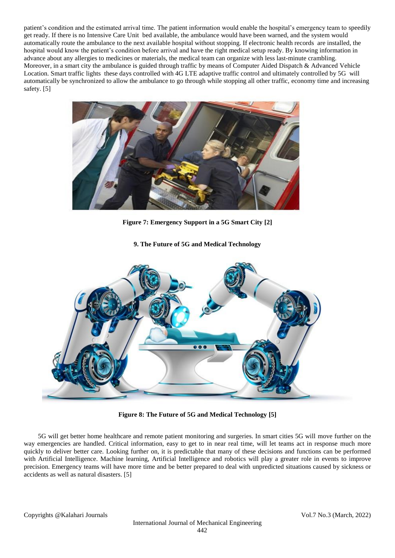patient's condition and the estimated arrival time. The patient information would enable the hospital's emergency team to speedily get ready. If there is no Intensive Care Unit bed available, the ambulance would have been warned, and the system would automatically route the ambulance to the next available hospital without stopping. If electronic health records are installed, the hospital would know the patient's condition before arrival and have the right medical setup ready. By knowing information in advance about any allergies to medicines or materials, the medical team can organize with less last-minute crambling. Moreover, in a smart city the ambulance is guided through traffic by means of Computer Aided Dispatch & Advanced Vehicle Location. Smart traffic lights these days controlled with 4G LTE [adaptive traffic control](https://www.digi.com/resources/library/white-papers/digi-traffic-management-communications-wp) and ultimately controlled by 5G will automatically be synchronized to allow the ambulance to go through while stopping all other traffic, economy time and increasing safety. [5]



**Figure 7: Emergency Support in a 5G Smart City [2]**

**9. The Future of 5G and Medical Technology**



**Figure 8: The Future of 5G and Medical Technology [5]**

5G will get better home healthcare and remote patient monitoring and surgeries. In smart cities 5G will move further on the way emergencies are handled. Critical information, easy to get to in near real time, will let teams act in response much more quickly to deliver better care. Looking further on, it is predictable that many of these decisions and functions can be performed with Artificial Intelligence. Machine learning, Artificial Intelligence and robotics will play a greater role in events to improve precision. Emergency teams will have more time and be better prepared to deal with unpredicted situations caused by sickness or accidents as well as natural disasters. [5]